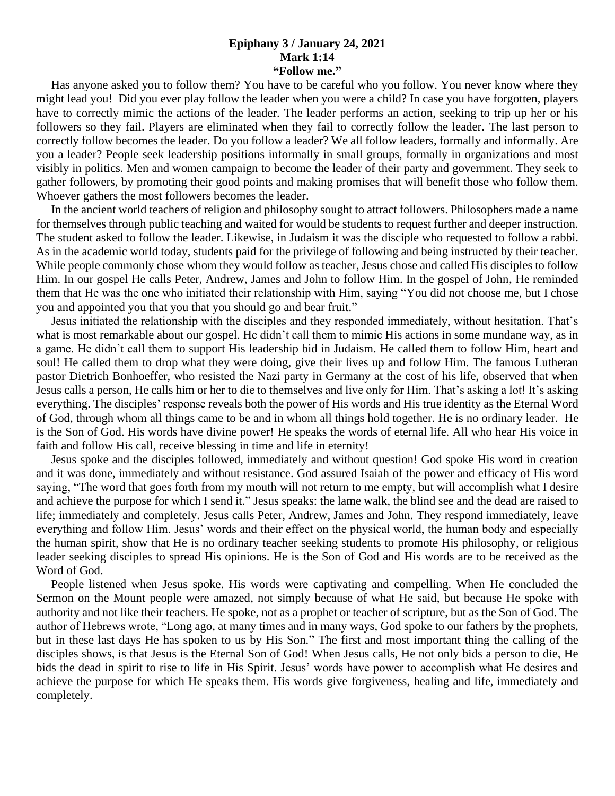## **Epiphany 3 / January 24, 2021 Mark 1:14 "Follow me."**

 Has anyone asked you to follow them? You have to be careful who you follow. You never know where they might lead you! Did you ever play follow the leader when you were a child? In case you have forgotten, players have to correctly mimic the actions of the leader. The leader performs an action, seeking to trip up her or his followers so they fail. Players are eliminated when they fail to correctly follow the leader. The last person to correctly follow becomes the leader. Do you follow a leader? We all follow leaders, formally and informally. Are you a leader? People seek leadership positions informally in small groups, formally in organizations and most visibly in politics. Men and women campaign to become the leader of their party and government. They seek to gather followers, by promoting their good points and making promises that will benefit those who follow them. Whoever gathers the most followers becomes the leader.

 In the ancient world teachers of religion and philosophy sought to attract followers. Philosophers made a name for themselves through public teaching and waited for would be students to request further and deeper instruction. The student asked to follow the leader. Likewise, in Judaism it was the disciple who requested to follow a rabbi. As in the academic world today, students paid for the privilege of following and being instructed by their teacher. While people commonly chose whom they would follow as teacher, Jesus chose and called His disciples to follow Him. In our gospel He calls Peter, Andrew, James and John to follow Him. In the gospel of John, He reminded them that He was the one who initiated their relationship with Him, saying "You did not choose me, but I chose you and appointed you that you that you should go and bear fruit."

 Jesus initiated the relationship with the disciples and they responded immediately, without hesitation. That's what is most remarkable about our gospel. He didn't call them to mimic His actions in some mundane way, as in a game. He didn't call them to support His leadership bid in Judaism. He called them to follow Him, heart and soul! He called them to drop what they were doing, give their lives up and follow Him. The famous Lutheran pastor Dietrich Bonhoeffer, who resisted the Nazi party in Germany at the cost of his life, observed that when Jesus calls a person, He calls him or her to die to themselves and live only for Him. That's asking a lot! It's asking everything. The disciples' response reveals both the power of His words and His true identity as the Eternal Word of God, through whom all things came to be and in whom all things hold together. He is no ordinary leader. He is the Son of God. His words have divine power! He speaks the words of eternal life. All who hear His voice in faith and follow His call, receive blessing in time and life in eternity!

 Jesus spoke and the disciples followed, immediately and without question! God spoke His word in creation and it was done, immediately and without resistance. God assured Isaiah of the power and efficacy of His word saying, "The word that goes forth from my mouth will not return to me empty, but will accomplish what I desire and achieve the purpose for which I send it." Jesus speaks: the lame walk, the blind see and the dead are raised to life; immediately and completely. Jesus calls Peter, Andrew, James and John. They respond immediately, leave everything and follow Him. Jesus' words and their effect on the physical world, the human body and especially the human spirit, show that He is no ordinary teacher seeking students to promote His philosophy, or religious leader seeking disciples to spread His opinions. He is the Son of God and His words are to be received as the Word of God.

 People listened when Jesus spoke. His words were captivating and compelling. When He concluded the Sermon on the Mount people were amazed, not simply because of what He said, but because He spoke with authority and not like their teachers. He spoke, not as a prophet or teacher of scripture, but as the Son of God. The author of Hebrews wrote, "Long ago, at many times and in many ways, God spoke to our fathers by the prophets, but in these last days He has spoken to us by His Son." The first and most important thing the calling of the disciples shows, is that Jesus is the Eternal Son of God! When Jesus calls, He not only bids a person to die, He bids the dead in spirit to rise to life in His Spirit. Jesus' words have power to accomplish what He desires and achieve the purpose for which He speaks them. His words give forgiveness, healing and life, immediately and completely.